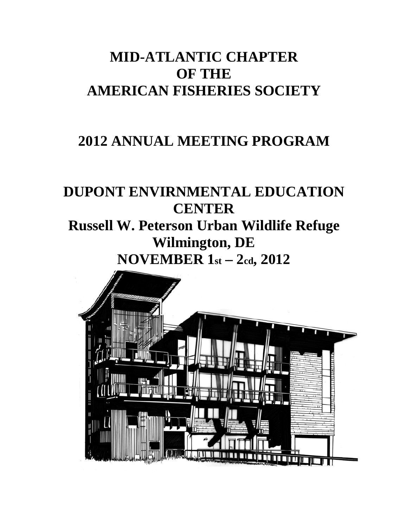# **MID-ATLANTIC CHAPTER OF THE AMERICAN FISHERIES SOCIETY**

# **2012 ANNUAL MEETING PROGRAM**

# **DUPONT ENVIRNMENTAL EDUCATION CENTER**

**Russell W. Peterson Urban Wildlife Refuge Wilmington, DE** NOVEMBER  $1st - 2cd$ , 2012

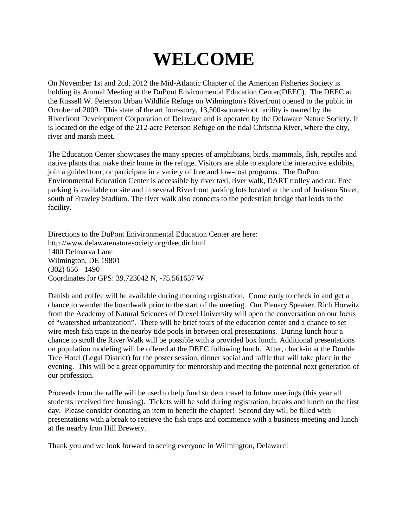# **WELCOME**

On November 1st and 2cd, 2012 the Mid-Atlantic Chapter of the American Fisheries Society is holding its Annual Meeting at the DuPont Environmental Education Center(DEEC). The DEEC at the Russell W. Peterson Urban Wildlife Refuge on Wilmington's Riverfront opened to the public in October of 2009. This state of the art four-story, 13,500-square-foot facility is owned by the Riverfront Development Corporation of Delaware and is operated by the Delaware Nature Society. It is located on the edge of the 212-acre Peterson Refuge on the tidal Christina River, where the city, river and marsh meet.

The Education Center showcases the many species of amphibians, birds, mammals, fish, reptiles and native plants that make their home in the refuge. Visitors are able to explore the interactive exhibits, join a guided tour, or participate in a variety of free and low-cost programs. The DuPont Environmental Education Center is accessible by river taxi, river walk, DART trolley and car. Free parking is available on site and in several Riverfront parking lots located at the end of Justison Street, south of Frawley Stadium. The river walk also connects to the pedestrian bridge that leads to the facility.

Directions to the DuPont Enivironmental Education Center are here: http://www.delawarenaturesociety.org/deecdir.html 1400 Delmarva Lane Wilmington, DE 19801 (302) 656 - 1490 Coordinates for GPS: 39.723042 N, -75.561657 W

Danish and coffee will be available during morning registration. Come early to check in and get a chance to wander the boardwalk prior to the start of the meeting. Our Plenary Speaker, Rich Horwitz from the Academy of Natural Sciences of Drexel University will open the conversation on our focus of "watershed urbanization". There will be brief tours of the education center and a chance to set wire mesh fish traps in the nearby tide pools in between oral presentations. During lunch hour a chance to stroll the River Walk will be possible with a provided box lunch. Additional presentations on population modeling will be offered at the DEEC following lunch. After, check-in at the Double Tree Hotel (Legal District) for the poster session, dinner social and raffle that will take place in the evening. This will be a great opportunity for mentorship and meeting the potential next generation of our profession.

Proceeds from the raffle will be used to help fund student travel to future meetings (this year all students received free housing). Tickets will be sold during registration, breaks and lunch on the first day. Please consider donating an item to benefit the chapter! Second day will be filled with presentations with a break to retrieve the fish traps and commence with a business meeting and lunch at the nearby Iron Hill Brewery.

Thank you and we look forward to seeing everyone in Wilmington, Delaware!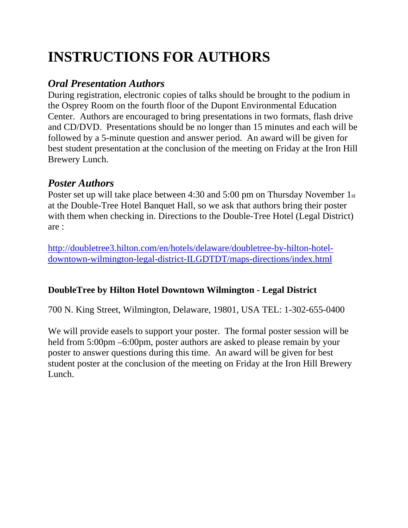# **INSTRUCTIONS FOR AUTHORS**

# *Oral Presentation Authors*

During registration, electronic copies of talks should be brought to the podium in the Osprey Room on the fourth floor of the Dupont Environmental Education Center. Authors are encouraged to bring presentations in two formats, flash drive and CD/DVD. Presentations should be no longer than 15 minutes and each will be followed by a 5-minute question and answer period. An award will be given for best student presentation at the conclusion of the meeting on Friday at the Iron Hill Brewery Lunch.

# *Poster Authors*

Poster set up will take place between 4:30 and 5:00 pm on Thursday November 1st at the Double-Tree Hotel Banquet Hall, so we ask that authors bring their poster with them when checking in. Directions to the Double-Tree Hotel (Legal District) are :

http://doubletree3.hilton.com/en/hotels/delaware/doubletree-by-hilton-hoteldowntown-wilmington-legal-district-ILGDTDT/maps-directions/index.html

## **DoubleTree by Hilton Hotel Downtown Wilmington - Legal District**

700 N. King Street, Wilmington, Delaware, 19801, USA TEL: 1-302-655-0400

We will provide easels to support your poster. The formal poster session will be held from 5:00pm –6:00pm, poster authors are asked to please remain by your poster to answer questions during this time. An award will be given for best student poster at the conclusion of the meeting on Friday at the Iron Hill Brewery Lunch.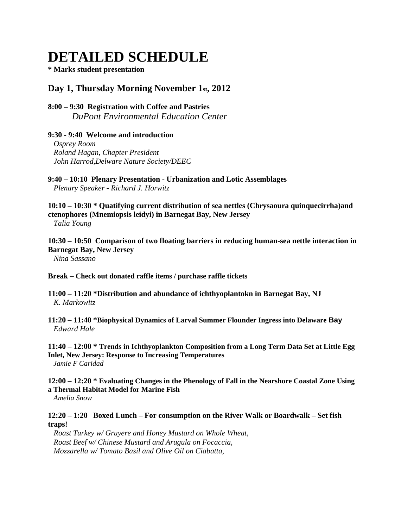# **DETAILED SCHEDULE**

**\* Marks student presentation** 

### **Day 1, Thursday Morning November 1st, 2012**

### **8:00 – 9:30 Registration with Coffee and Pastries** *DuPont Environmental Education Center*

#### **9:30 - 9:40 Welcome and introduction**

 *Osprey Room Roland Hagan, Chapter President John Harrod,Delware Nature Society/DEEC* 

**9:40 – 10:10 Plenary Presentation - Urbanization and Lotic Assemblages** *Plenary Speaker - Richard J. Horwitz* 

**10:10 – 10:30 \* Quatifying current distribution of sea nettles (Chrysaoura quinquecirrha)and ctenophores (Mnemiopsis leidyi) in Barnegat Bay, New Jersey** 

*Talia Young* 

**10:30 – 10:50 Comparison of two floating barriers in reducing human-sea nettle interaction in Barnegat Bay, New Jersey**  *Nina Sassano* 

**Break – Check out donated raffle items / purchase raffle tickets**

### **11:00 – 11:20 \*Distribution and abundance of ichthyoplantokn in Barnegat Bay, NJ**  *K. Markowitz*

**11:20 – 11:40 \*Biophysical Dynamics of Larval Summer Flounder Ingress into Delaware Bay** *Edward Hale* 

**11:40 – 12:00 \* Trends in Ichthyoplankton Composition from a Long Term Data Set at Little Egg Inlet, New Jersey: Response to Increasing Temperatures** *Jamie F Caridad*

**12:00 – 12:20 \* Evaluating Changes in the Phenology of Fall in the Nearshore Coastal Zone Using a Thermal Habitat Model for Marine Fish** 

*Amelia Snow*

### **12:20 – 1:20 Boxed Lunch – For consumption on the River Walk or Boardwalk – Set fish traps!**

*Roast Turkey w/ Gruyere and Honey Mustard on Whole Wheat, Roast Beef w/ Chinese Mustard and Arugula on Focaccia, Mozzarella w/ Tomato Basil and Olive Oil on Ciabatta,*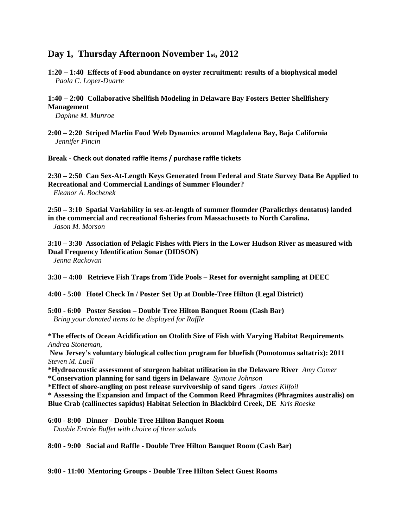### **Day 1, Thursday Afternoon November 1st, 2012**

- **1:20 1:40 Effects of Food abundance on oyster recruitment: results of a biophysical model** *Paola C. Lopez-Duarte*
- **1:40 2:00 Collaborative Shellfish Modeling in Delaware Bay Fosters Better Shellfishery Management**

*Daphne M. Munroe* 

**2:00 – 2:20 Striped Marlin Food Web Dynamics around Magdalena Bay, Baja California**  *Jennifer Pincin* 

**Break - Check out donated raffle items / purchase raffle tickets**

**2:30 – 2:50 Can Sex-At-Length Keys Generated from Federal and State Survey Data Be Applied to Recreational and Commercial Landings of Summer Flounder?** *Eleanor A. Bochenek*

**2:50 – 3:10****Spatial Variability in sex-at-length of summer flounder (Paralicthys dentatus) landed in the commercial and recreational fisheries from Massachusetts to North Carolina.** *Jason M. Morson*

**3:10 – 3:30 Association of Pelagic Fishes with Piers in the Lower Hudson River as measured with Dual Frequency Identification Sonar (DIDSON)**   *Jenna Rackovan*

**3:30 – 4:00 Retrieve Fish Traps from Tide Pools – Reset for overnight sampling at DEEC** 

**4:00 - 5:00 Hotel Check In / Poster Set Up at Double-Tree Hilton (Legal District)** 

**5:00 - 6:00 Poster Session – Double Tree Hilton Banquet Room (Cash Bar)** *Bring your donated items to be displayed for Raffle* 

**\*The effects of Ocean Acidification on Otolith Size of Fish with Varying Habitat Requirements** *Andrea Stoneman,* 

 **New Jersey's voluntary biological collection program for bluefish (Pomotomus saltatrix): 2011**  *Steven M. Luell* 

**\*Hydroacoustic assessment of sturgeon habitat utilization in the Delaware River** *Amy Comer*  **\*Conservation planning for sand tigers in Delaware** *Symone Johnson* 

**\*Effect of shore-angling on post release survivorship of sand tigers** *James Kilfoil* 

**\* Assessing the Expansion and Impact of the Common Reed Phragmites (Phragmites australis) on Blue Crab (callinectes sapidus) Habitat Selection in Blackbird Creek, DE** *Kris Roeske*

**6:00 - 8:00 Dinner - Double Tree Hilton Banquet Room** 

*Double Entrée Buffet with choice of three salads* 

**8:00 - 9:00 Social and Raffle - Double Tree Hilton Banquet Room (Cash Bar)** 

**9:00 - 11:00 Mentoring Groups - Double Tree Hilton Select Guest Rooms**